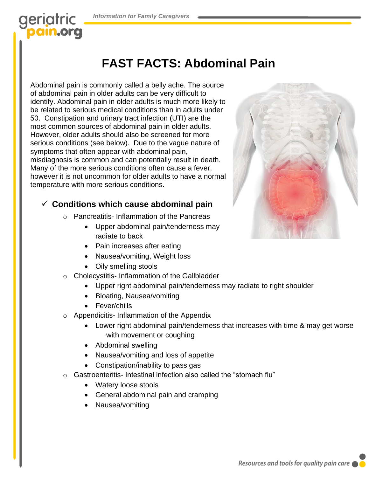# geriatric **ain.org**

## **FAST FACTS: Abdominal Pain**

Abdominal pain is commonly called a belly ache. The source of abdominal pain in older adults can be very difficult to identify. Abdominal pain in older adults is much more likely to be related to serious medical conditions than in adults under 50. Constipation and urinary tract infection (UTI) are the most common sources of abdominal pain in older adults. However, older adults should also be screened for more serious conditions (see below). Due to the vague nature of symptoms that often appear with abdominal pain, misdiagnosis is common and can potentially result in death. Many of the more serious conditions often cause a fever, however it is not uncommon for older adults to have a normal temperature with more serious conditions.

#### ✓ **Conditions which cause abdominal pain**

- o Pancreatitis- Inflammation of the Pancreas
	- Upper abdominal pain/tenderness may radiate to back
		- Pain increases after eating
		- Nausea/vomiting, Weight loss
	- Oily smelling stools
- o Cholecystitis- Inflammation of the Gallbladder
	- Upper right abdominal pain/tenderness may radiate to right shoulder
	- Bloating, Nausea/vomiting
	- Fever/chills
- o Appendicitis- Inflammation of the Appendix
	- Lower right abdominal pain/tenderness that increases with time & may get worse with movement or coughing
	- Abdominal swelling
	- Nausea/vomiting and loss of appetite
	- Constipation/inability to pass gas
- o Gastroenteritis- Intestinal infection also called the "stomach flu"
	- Watery loose stools
	- General abdominal pain and cramping
	- Nausea/vomiting